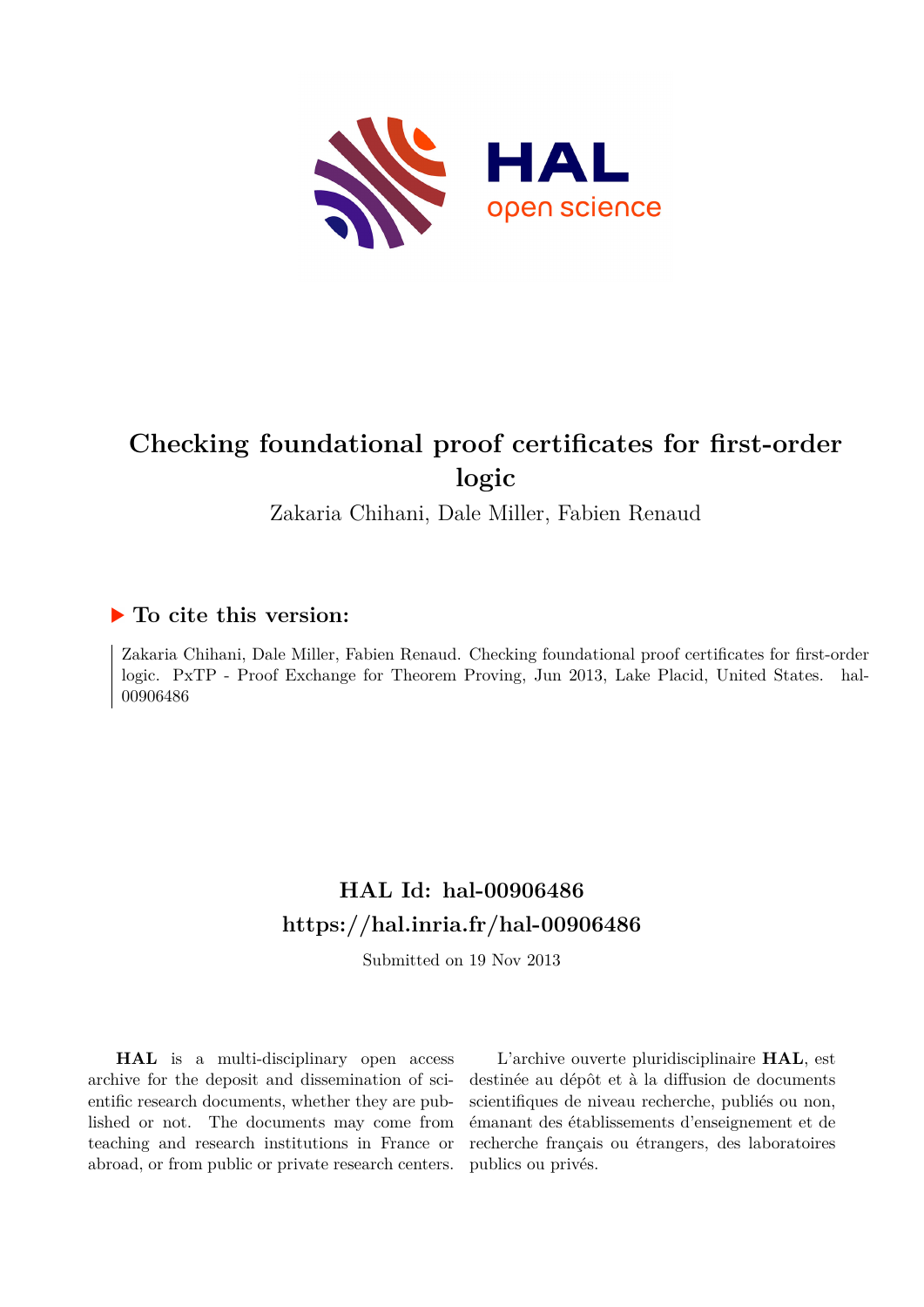

# **Checking foundational proof certificates for first-order logic**

Zakaria Chihani, Dale Miller, Fabien Renaud

# **To cite this version:**

Zakaria Chihani, Dale Miller, Fabien Renaud. Checking foundational proof certificates for first-order logic. PxTP - Proof Exchange for Theorem Proving, Jun 2013, Lake Placid, United States. hal-00906486

# **HAL Id: hal-00906486 <https://hal.inria.fr/hal-00906486>**

Submitted on 19 Nov 2013

**HAL** is a multi-disciplinary open access archive for the deposit and dissemination of scientific research documents, whether they are published or not. The documents may come from teaching and research institutions in France or abroad, or from public or private research centers.

L'archive ouverte pluridisciplinaire **HAL**, est destinée au dépôt et à la diffusion de documents scientifiques de niveau recherche, publiés ou non, émanant des établissements d'enseignement et de recherche français ou étrangers, des laboratoires publics ou privés.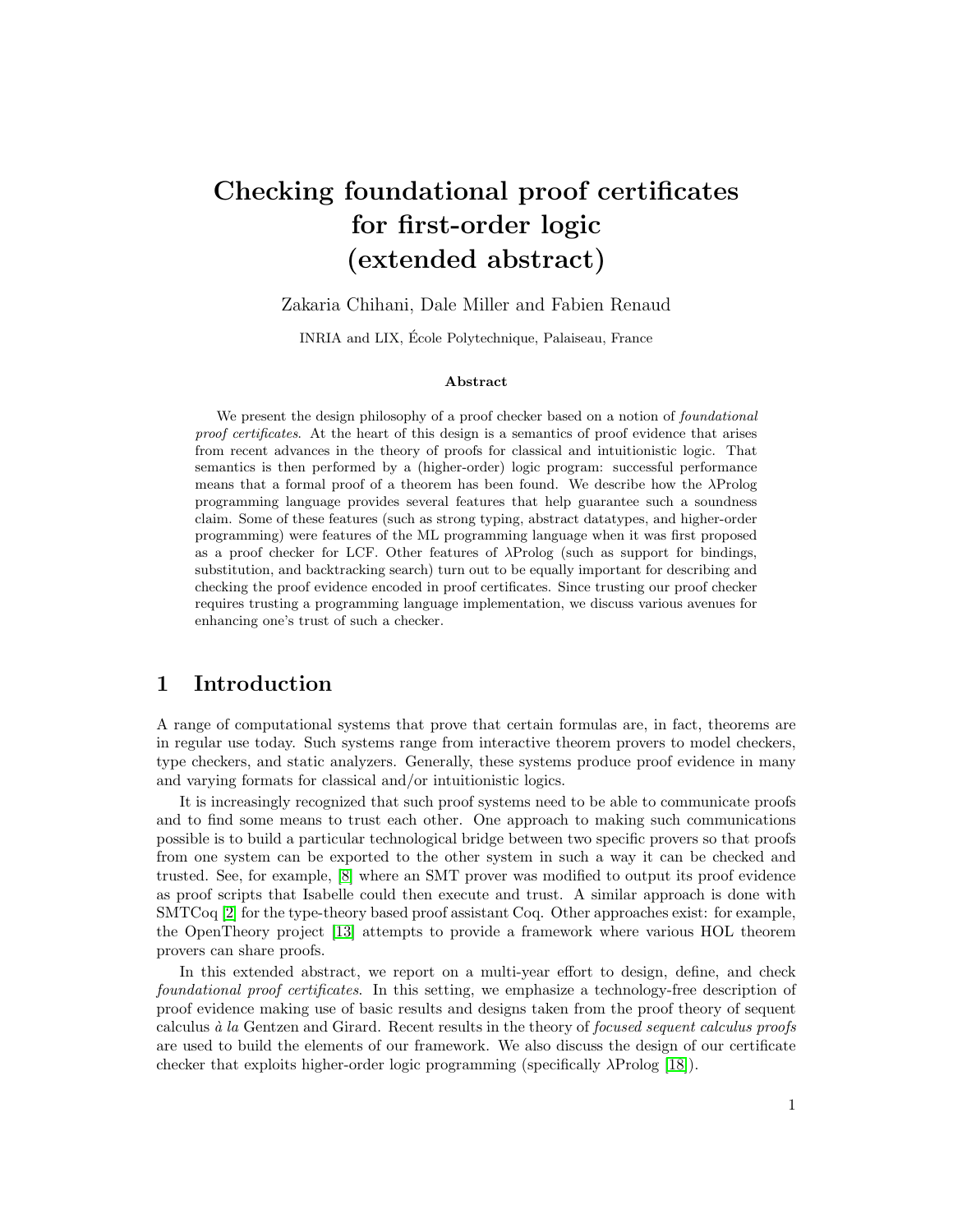# Checking foundational proof certificates for first-order logic (extended abstract)

Zakaria Chihani, Dale Miller and Fabien Renaud

INRIA and LIX, Ecole Polytechnique, Palaiseau, France ´

#### Abstract

We present the design philosophy of a proof checker based on a notion of *foundational proof certificates*. At the heart of this design is a semantics of proof evidence that arises from recent advances in the theory of proofs for classical and intuitionistic logic. That semantics is then performed by a (higher-order) logic program: successful performance means that a formal proof of a theorem has been found. We describe how the  $\lambda$ Prolog programming language provides several features that help guarantee such a soundness claim. Some of these features (such as strong typing, abstract datatypes, and higher-order programming) were features of the ML programming language when it was first proposed as a proof checker for LCF. Other features of  $\lambda$ Prolog (such as support for bindings, substitution, and backtracking search) turn out to be equally important for describing and checking the proof evidence encoded in proof certificates. Since trusting our proof checker requires trusting a programming language implementation, we discuss various avenues for enhancing one's trust of such a checker.

## 1 Introduction

A range of computational systems that prove that certain formulas are, in fact, theorems are in regular use today. Such systems range from interactive theorem provers to model checkers, type checkers, and static analyzers. Generally, these systems produce proof evidence in many and varying formats for classical and/or intuitionistic logics.

It is increasingly recognized that such proof systems need to be able to communicate proofs and to find some means to trust each other. One approach to making such communications possible is to build a particular technological bridge between two specific provers so that proofs from one system can be exported to the other system in such a way it can be checked and trusted. See, for example, [\[8\]](#page-8-0) where an SMT prover was modified to output its proof evidence as proof scripts that Isabelle could then execute and trust. A similar approach is done with SMTCoq [\[2\]](#page-7-0) for the type-theory based proof assistant Coq. Other approaches exist: for example, the OpenTheory project [\[13\]](#page-8-1) attempts to provide a framework where various HOL theorem provers can share proofs.

In this extended abstract, we report on a multi-year effort to design, define, and check foundational proof certificates. In this setting, we emphasize a technology-free description of proof evidence making use of basic results and designs taken from the proof theory of sequent calculus  $\dot{a}$  la Gentzen and Girard. Recent results in the theory of *focused sequent calculus proofs* are used to build the elements of our framework. We also discuss the design of our certificate checker that exploits higher-order logic programming (specifically λProlog [\[18\]](#page-8-2)).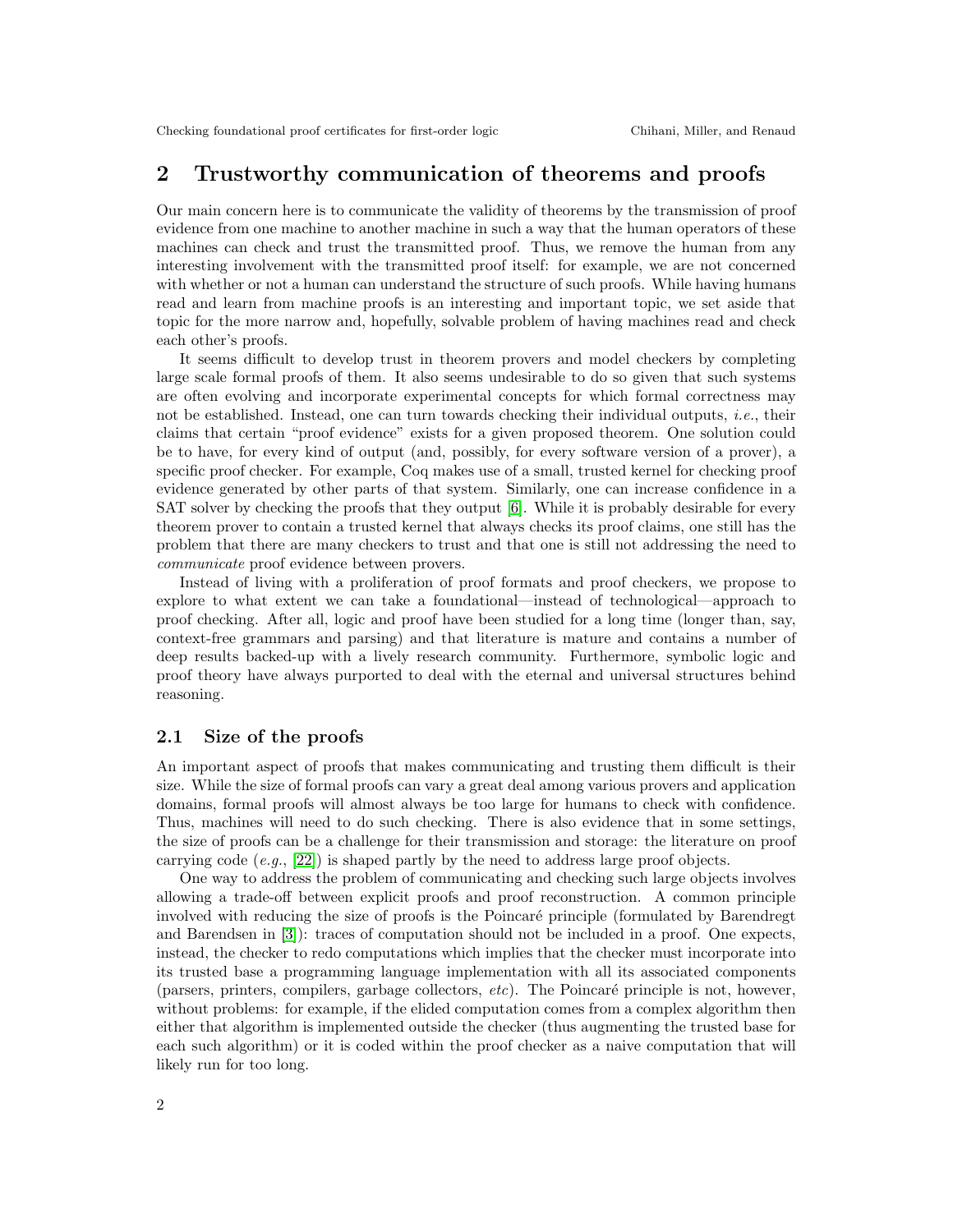## 2 Trustworthy communication of theorems and proofs

Our main concern here is to communicate the validity of theorems by the transmission of proof evidence from one machine to another machine in such a way that the human operators of these machines can check and trust the transmitted proof. Thus, we remove the human from any interesting involvement with the transmitted proof itself: for example, we are not concerned with whether or not a human can understand the structure of such proofs. While having humans read and learn from machine proofs is an interesting and important topic, we set aside that topic for the more narrow and, hopefully, solvable problem of having machines read and check each other's proofs.

It seems difficult to develop trust in theorem provers and model checkers by completing large scale formal proofs of them. It also seems undesirable to do so given that such systems are often evolving and incorporate experimental concepts for which formal correctness may not be established. Instead, one can turn towards checking their individual outputs, *i.e.*, their claims that certain "proof evidence" exists for a given proposed theorem. One solution could be to have, for every kind of output (and, possibly, for every software version of a prover), a specific proof checker. For example, Coq makes use of a small, trusted kernel for checking proof evidence generated by other parts of that system. Similarly, one can increase confidence in a SAT solver by checking the proofs that they output [\[6\]](#page-8-3). While it is probably desirable for every theorem prover to contain a trusted kernel that always checks its proof claims, one still has the problem that there are many checkers to trust and that one is still not addressing the need to communicate proof evidence between provers.

Instead of living with a proliferation of proof formats and proof checkers, we propose to explore to what extent we can take a foundational—instead of technological—approach to proof checking. After all, logic and proof have been studied for a long time (longer than, say, context-free grammars and parsing) and that literature is mature and contains a number of deep results backed-up with a lively research community. Furthermore, symbolic logic and proof theory have always purported to deal with the eternal and universal structures behind reasoning.

### 2.1 Size of the proofs

An important aspect of proofs that makes communicating and trusting them difficult is their size. While the size of formal proofs can vary a great deal among various provers and application domains, formal proofs will almost always be too large for humans to check with confidence. Thus, machines will need to do such checking. There is also evidence that in some settings, the size of proofs can be a challenge for their transmission and storage: the literature on proof carrying code  $(e.g., [22])$  $(e.g., [22])$  $(e.g., [22])$  is shaped partly by the need to address large proof objects.

One way to address the problem of communicating and checking such large objects involves allowing a trade-off between explicit proofs and proof reconstruction. A common principle involved with reducing the size of proofs is the Poincaré principle (formulated by Barendregt and Barendsen in [\[3\]](#page-7-1)): traces of computation should not be included in a proof. One expects, instead, the checker to redo computations which implies that the checker must incorporate into its trusted base a programming language implementation with all its associated components (parsers, printers, compilers, garbage collectors,  $etc$ ). The Poincaré principle is not, however, without problems: for example, if the elided computation comes from a complex algorithm then either that algorithm is implemented outside the checker (thus augmenting the trusted base for each such algorithm) or it is coded within the proof checker as a naive computation that will likely run for too long.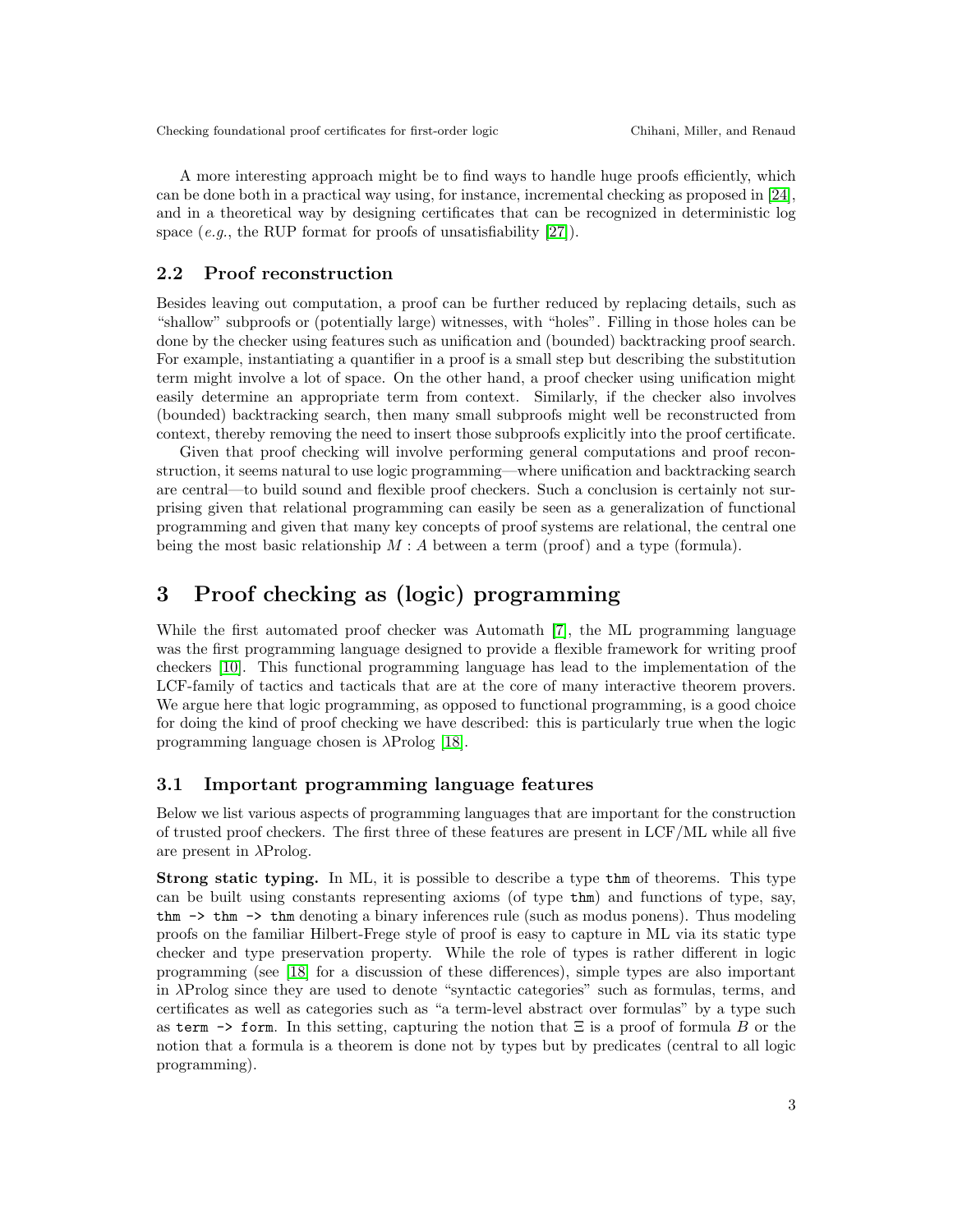A more interesting approach might be to find ways to handle huge proofs efficiently, which can be done both in a practical way using, for instance, incremental checking as proposed in [\[24\]](#page-8-5), and in a theoretical way by designing certificates that can be recognized in deterministic log space  $(e.g.,\,the\,RUP\,format\,for\,proofs\,of\,unsatisfiability\, [27]).$  $(e.g.,\,the\,RUP\,format\,for\,proofs\,of\,unsatisfiability\, [27]).$  $(e.g.,\,the\,RUP\,format\,for\,proofs\,of\,unsatisfiability\, [27]).$ 

## 2.2 Proof reconstruction

Besides leaving out computation, a proof can be further reduced by replacing details, such as "shallow" subproofs or (potentially large) witnesses, with "holes". Filling in those holes can be done by the checker using features such as unification and (bounded) backtracking proof search. For example, instantiating a quantifier in a proof is a small step but describing the substitution term might involve a lot of space. On the other hand, a proof checker using unification might easily determine an appropriate term from context. Similarly, if the checker also involves (bounded) backtracking search, then many small subproofs might well be reconstructed from context, thereby removing the need to insert those subproofs explicitly into the proof certificate.

Given that proof checking will involve performing general computations and proof reconstruction, it seems natural to use logic programming—where unification and backtracking search are central—to build sound and flexible proof checkers. Such a conclusion is certainly not surprising given that relational programming can easily be seen as a generalization of functional programming and given that many key concepts of proof systems are relational, the central one being the most basic relationship  $M : A$  between a term (proof) and a type (formula).

## 3 Proof checking as (logic) programming

While the first automated proof checker was Automath [\[7\]](#page-8-6), the ML programming language was the first programming language designed to provide a flexible framework for writing proof checkers [\[10\]](#page-8-7). This functional programming language has lead to the implementation of the LCF-family of tactics and tacticals that are at the core of many interactive theorem provers. We argue here that logic programming, as opposed to functional programming, is a good choice for doing the kind of proof checking we have described: this is particularly true when the logic programming language chosen is  $\lambda \text{Prolog}$  [\[18\]](#page-8-2).

### 3.1 Important programming language features

Below we list various aspects of programming languages that are important for the construction of trusted proof checkers. The first three of these features are present in LCF/ML while all five are present in  $\lambda$ Prolog.

Strong static typing. In ML, it is possible to describe a type thm of theorems. This type can be built using constants representing axioms (of type thm) and functions of type, say, thm  $\rightarrow$  thm  $\rightarrow$  thm denoting a binary inferences rule (such as modus ponens). Thus modeling proofs on the familiar Hilbert-Frege style of proof is easy to capture in ML via its static type checker and type preservation property. While the role of types is rather different in logic programming (see [\[18\]](#page-8-2) for a discussion of these differences), simple types are also important in λProlog since they are used to denote "syntactic categories" such as formulas, terms, and certificates as well as categories such as "a term-level abstract over formulas" by a type such as term  $\rightarrow$  form. In this setting, capturing the notion that  $\Xi$  is a proof of formula B or the notion that a formula is a theorem is done not by types but by predicates (central to all logic programming).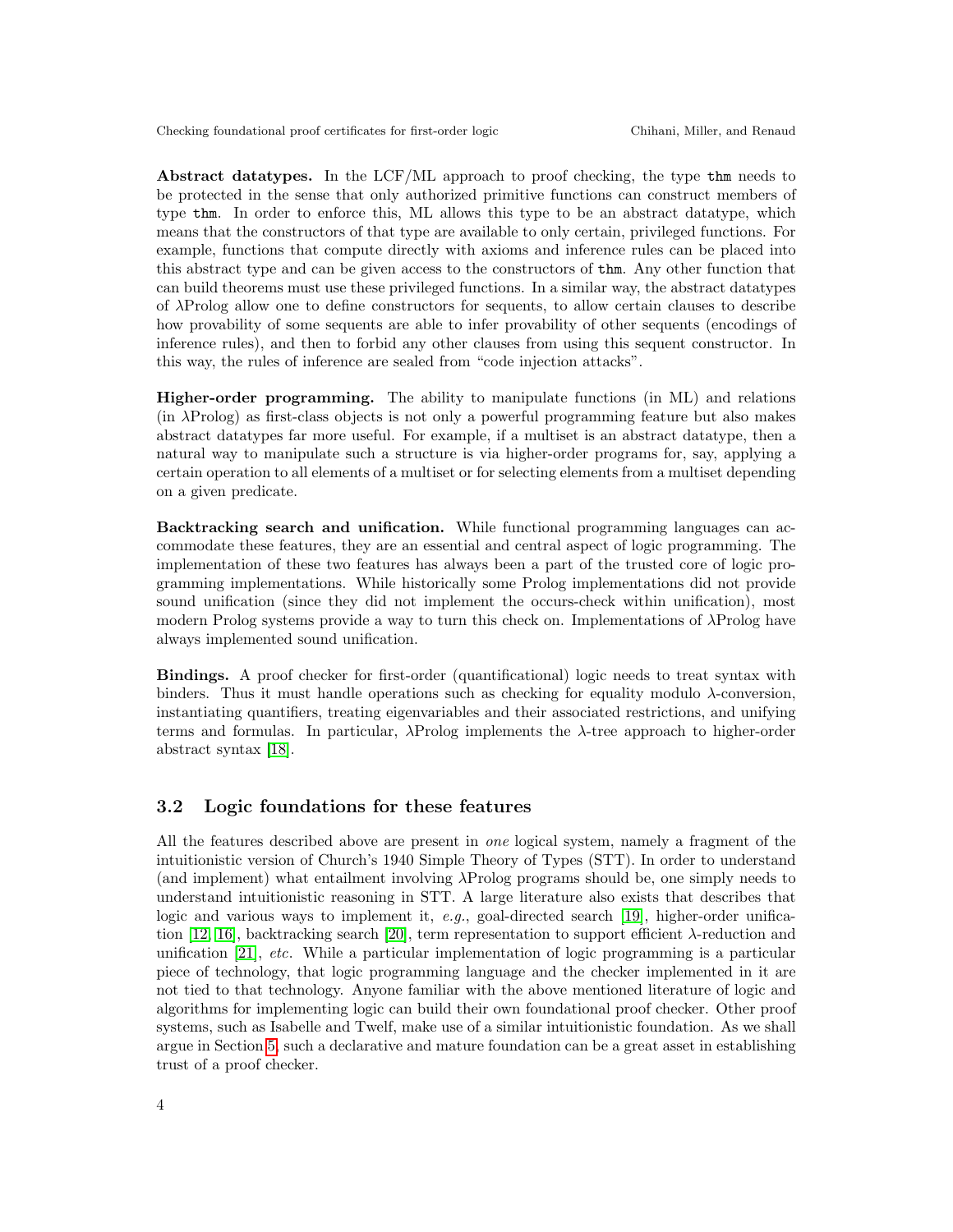Abstract datatypes. In the LCF/ML approach to proof checking, the type thm needs to be protected in the sense that only authorized primitive functions can construct members of type thm. In order to enforce this, ML allows this type to be an abstract datatype, which means that the constructors of that type are available to only certain, privileged functions. For example, functions that compute directly with axioms and inference rules can be placed into this abstract type and can be given access to the constructors of thm. Any other function that can build theorems must use these privileged functions. In a similar way, the abstract datatypes of λProlog allow one to define constructors for sequents, to allow certain clauses to describe how provability of some sequents are able to infer provability of other sequents (encodings of inference rules), and then to forbid any other clauses from using this sequent constructor. In this way, the rules of inference are sealed from "code injection attacks".

Higher-order programming. The ability to manipulate functions (in ML) and relations (in λProlog) as first-class objects is not only a powerful programming feature but also makes abstract datatypes far more useful. For example, if a multiset is an abstract datatype, then a natural way to manipulate such a structure is via higher-order programs for, say, applying a certain operation to all elements of a multiset or for selecting elements from a multiset depending on a given predicate.

Backtracking search and unification. While functional programming languages can accommodate these features, they are an essential and central aspect of logic programming. The implementation of these two features has always been a part of the trusted core of logic programming implementations. While historically some Prolog implementations did not provide sound unification (since they did not implement the occurs-check within unification), most modern Prolog systems provide a way to turn this check on. Implementations of λProlog have always implemented sound unification.

Bindings. A proof checker for first-order (quantificational) logic needs to treat syntax with binders. Thus it must handle operations such as checking for equality modulo  $\lambda$ -conversion, instantiating quantifiers, treating eigenvariables and their associated restrictions, and unifying terms and formulas. In particular,  $\lambda$ Prolog implements the  $\lambda$ -tree approach to higher-order abstract syntax [\[18\]](#page-8-2).

### 3.2 Logic foundations for these features

All the features described above are present in one logical system, namely a fragment of the intuitionistic version of Church's 1940 Simple Theory of Types (STT). In order to understand (and implement) what entailment involving  $\lambda$ Prolog programs should be, one simply needs to understand intuitionistic reasoning in STT. A large literature also exists that describes that logic and various ways to implement it,  $e,q$ , goal-directed search [\[19\]](#page-8-8), higher-order unifica-tion [\[12,](#page-8-9) [16\]](#page-8-10), backtracking search [\[20\]](#page-8-11), term representation to support efficient  $\lambda$ -reduction and unification [\[21\]](#page-8-12), etc. While a particular implementation of logic programming is a particular piece of technology, that logic programming language and the checker implemented in it are not tied to that technology. Anyone familiar with the above mentioned literature of logic and algorithms for implementing logic can build their own foundational proof checker. Other proof systems, such as Isabelle and Twelf, make use of a similar intuitionistic foundation. As we shall argue in Section [5,](#page-6-0) such a declarative and mature foundation can be a great asset in establishing trust of a proof checker.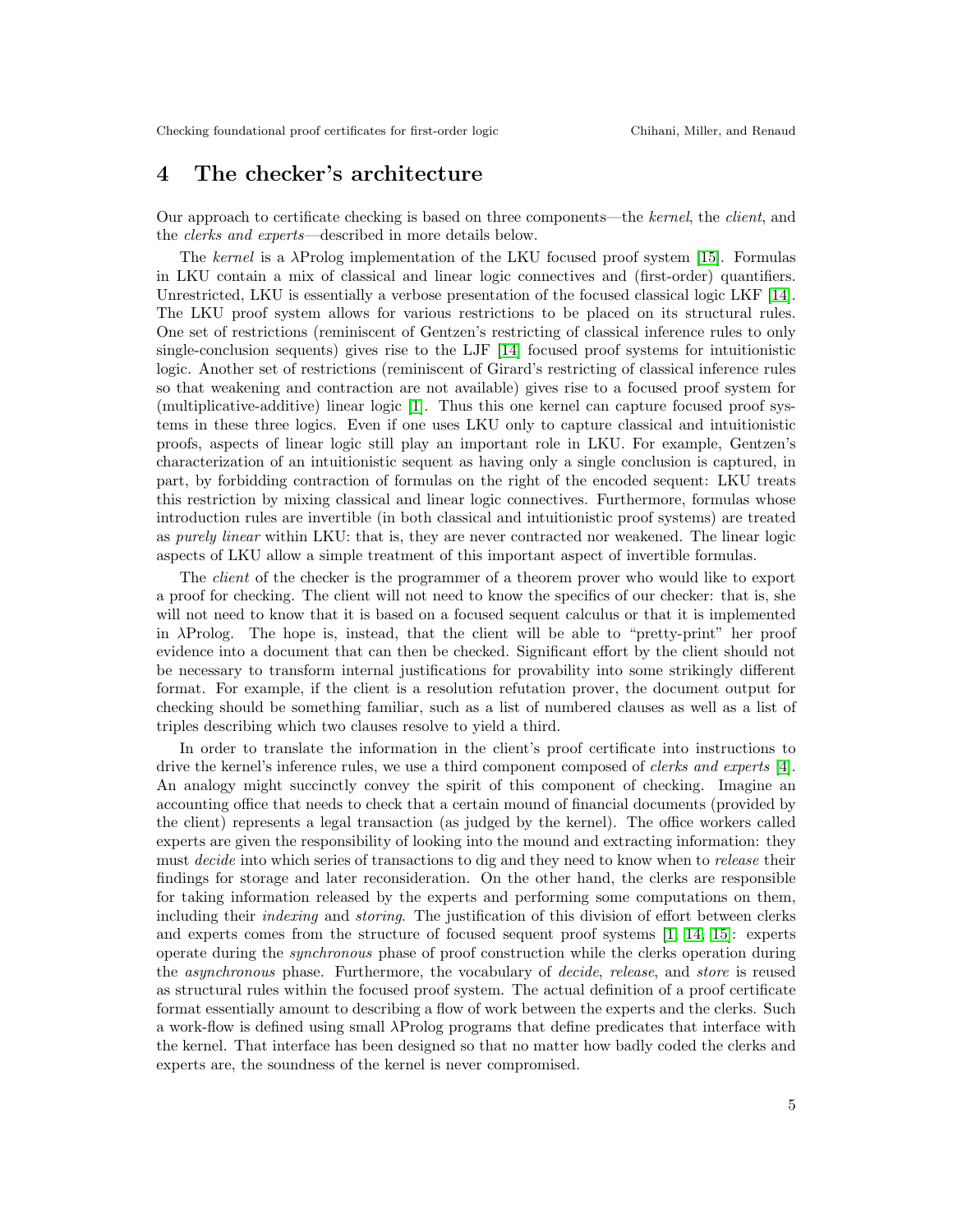## 4 The checker's architecture

Our approach to certificate checking is based on three components—the kernel, the client, and the clerks and experts—described in more details below.

The kernel is a λProlog implementation of the LKU focused proof system [\[15\]](#page-8-13). Formulas in LKU contain a mix of classical and linear logic connectives and (first-order) quantifiers. Unrestricted, LKU is essentially a verbose presentation of the focused classical logic LKF [\[14\]](#page-8-14). The LKU proof system allows for various restrictions to be placed on its structural rules. One set of restrictions (reminiscent of Gentzen's restricting of classical inference rules to only single-conclusion sequents) gives rise to the LJF [\[14\]](#page-8-14) focused proof systems for intuitionistic logic. Another set of restrictions (reminiscent of Girard's restricting of classical inference rules so that weakening and contraction are not available) gives rise to a focused proof system for (multiplicative-additive) linear logic [\[1\]](#page-7-2). Thus this one kernel can capture focused proof systems in these three logics. Even if one uses LKU only to capture classical and intuitionistic proofs, aspects of linear logic still play an important role in LKU. For example, Gentzen's characterization of an intuitionistic sequent as having only a single conclusion is captured, in part, by forbidding contraction of formulas on the right of the encoded sequent: LKU treats this restriction by mixing classical and linear logic connectives. Furthermore, formulas whose introduction rules are invertible (in both classical and intuitionistic proof systems) are treated as purely linear within LKU: that is, they are never contracted nor weakened. The linear logic aspects of LKU allow a simple treatment of this important aspect of invertible formulas.

The *client* of the checker is the programmer of a theorem prover who would like to export a proof for checking. The client will not need to know the specifics of our checker: that is, she will not need to know that it is based on a focused sequent calculus or that it is implemented in  $\lambda$ Prolog. The hope is, instead, that the client will be able to "pretty-print" her proof evidence into a document that can then be checked. Significant effort by the client should not be necessary to transform internal justifications for provability into some strikingly different format. For example, if the client is a resolution refutation prover, the document output for checking should be something familiar, such as a list of numbered clauses as well as a list of triples describing which two clauses resolve to yield a third.

In order to translate the information in the client's proof certificate into instructions to drive the kernel's inference rules, we use a third component composed of clerks and experts [\[4\]](#page-7-3). An analogy might succinctly convey the spirit of this component of checking. Imagine an accounting office that needs to check that a certain mound of financial documents (provided by the client) represents a legal transaction (as judged by the kernel). The office workers called experts are given the responsibility of looking into the mound and extracting information: they must *decide* into which series of transactions to dig and they need to know when to *release* their findings for storage and later reconsideration. On the other hand, the clerks are responsible for taking information released by the experts and performing some computations on them, including their indexing and storing. The justification of this division of effort between clerks and experts comes from the structure of focused sequent proof systems [\[1,](#page-7-2) [14,](#page-8-14) [15\]](#page-8-13): experts operate during the synchronous phase of proof construction while the clerks operation during the asynchronous phase. Furthermore, the vocabulary of decide, release, and store is reused as structural rules within the focused proof system. The actual definition of a proof certificate format essentially amount to describing a flow of work between the experts and the clerks. Such a work-flow is defined using small λProlog programs that define predicates that interface with the kernel. That interface has been designed so that no matter how badly coded the clerks and experts are, the soundness of the kernel is never compromised.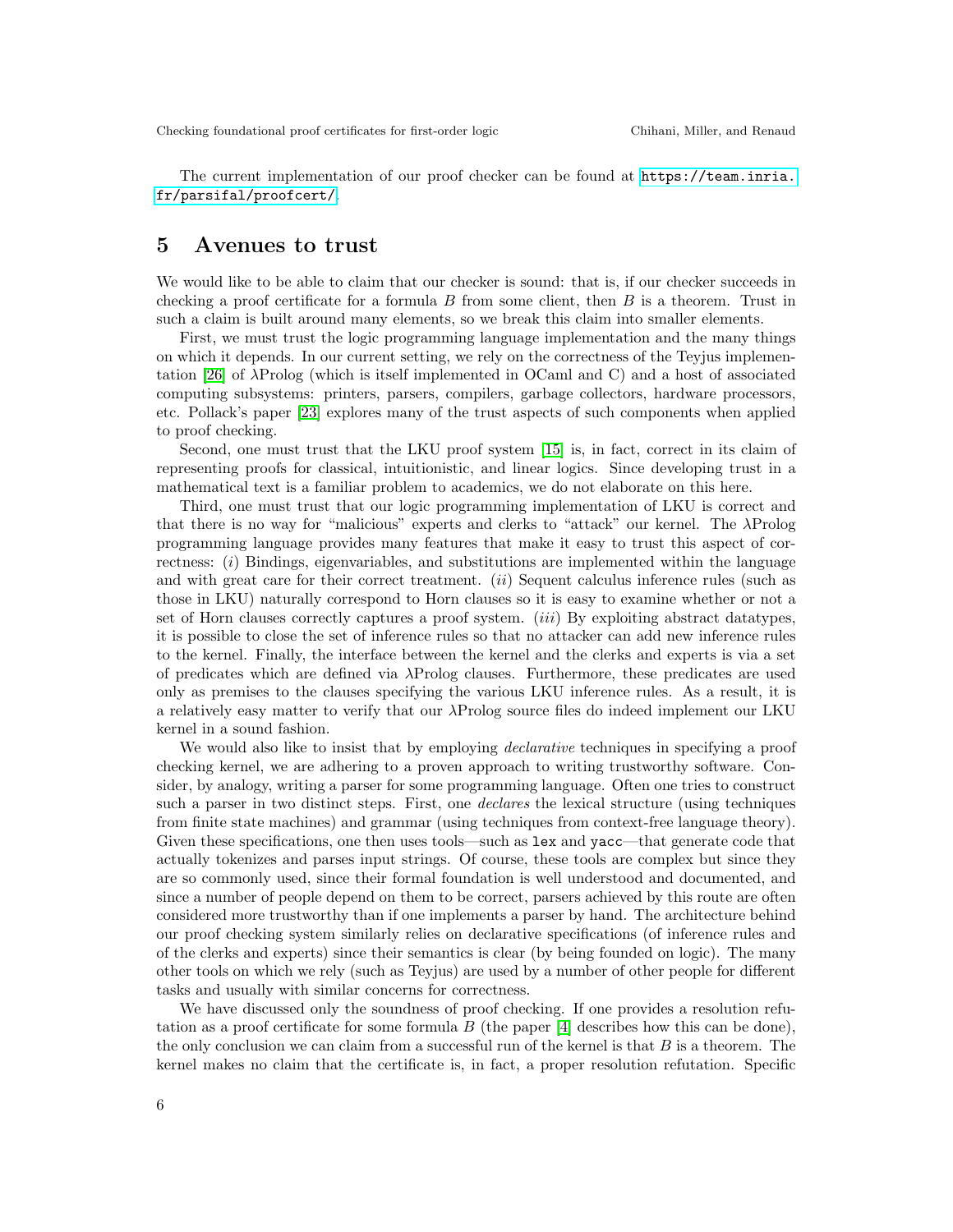The current implementation of our proof checker can be found at [https://team.inria.](https://team.inria.fr/parsifal/proofcert/) [fr/parsifal/proofcert/](https://team.inria.fr/parsifal/proofcert/).

## <span id="page-6-0"></span>5 Avenues to trust

We would like to be able to claim that our checker is sound: that is, if our checker succeeds in checking a proof certificate for a formula  $B$  from some client, then  $B$  is a theorem. Trust in such a claim is built around many elements, so we break this claim into smaller elements.

First, we must trust the logic programming language implementation and the many things on which it depends. In our current setting, we rely on the correctness of the Teyjus implementation [\[26\]](#page-9-1) of λProlog (which is itself implemented in OCaml and C) and a host of associated computing subsystems: printers, parsers, compilers, garbage collectors, hardware processors, etc. Pollack's paper [\[23\]](#page-8-15) explores many of the trust aspects of such components when applied to proof checking.

Second, one must trust that the LKU proof system [\[15\]](#page-8-13) is, in fact, correct in its claim of representing proofs for classical, intuitionistic, and linear logics. Since developing trust in a mathematical text is a familiar problem to academics, we do not elaborate on this here.

Third, one must trust that our logic programming implementation of LKU is correct and that there is no way for "malicious" experts and clerks to "attack" our kernel. The λProlog programming language provides many features that make it easy to trust this aspect of correctness: (i) Bindings, eigenvariables, and substitutions are implemented within the language and with great care for their correct treatment. *(ii)* Sequent calculus inference rules (such as those in LKU) naturally correspond to Horn clauses so it is easy to examine whether or not a set of Horn clauses correctly captures a proof system. *(iii)* By exploiting abstract datatypes, it is possible to close the set of inference rules so that no attacker can add new inference rules to the kernel. Finally, the interface between the kernel and the clerks and experts is via a set of predicates which are defined via λProlog clauses. Furthermore, these predicates are used only as premises to the clauses specifying the various LKU inference rules. As a result, it is a relatively easy matter to verify that our λProlog source files do indeed implement our LKU kernel in a sound fashion.

We would also like to insist that by employing *declarative* techniques in specifying a proof checking kernel, we are adhering to a proven approach to writing trustworthy software. Consider, by analogy, writing a parser for some programming language. Often one tries to construct such a parser in two distinct steps. First, one declares the lexical structure (using techniques from finite state machines) and grammar (using techniques from context-free language theory). Given these specifications, one then uses tools—such as lex and yacc—that generate code that actually tokenizes and parses input strings. Of course, these tools are complex but since they are so commonly used, since their formal foundation is well understood and documented, and since a number of people depend on them to be correct, parsers achieved by this route are often considered more trustworthy than if one implements a parser by hand. The architecture behind our proof checking system similarly relies on declarative specifications (of inference rules and of the clerks and experts) since their semantics is clear (by being founded on logic). The many other tools on which we rely (such as Teyjus) are used by a number of other people for different tasks and usually with similar concerns for correctness.

We have discussed only the soundness of proof checking. If one provides a resolution refutation as a proof certificate for some formula  $B$  (the paper  $[4]$  describes how this can be done), the only conclusion we can claim from a successful run of the kernel is that  $B$  is a theorem. The kernel makes no claim that the certificate is, in fact, a proper resolution refutation. Specific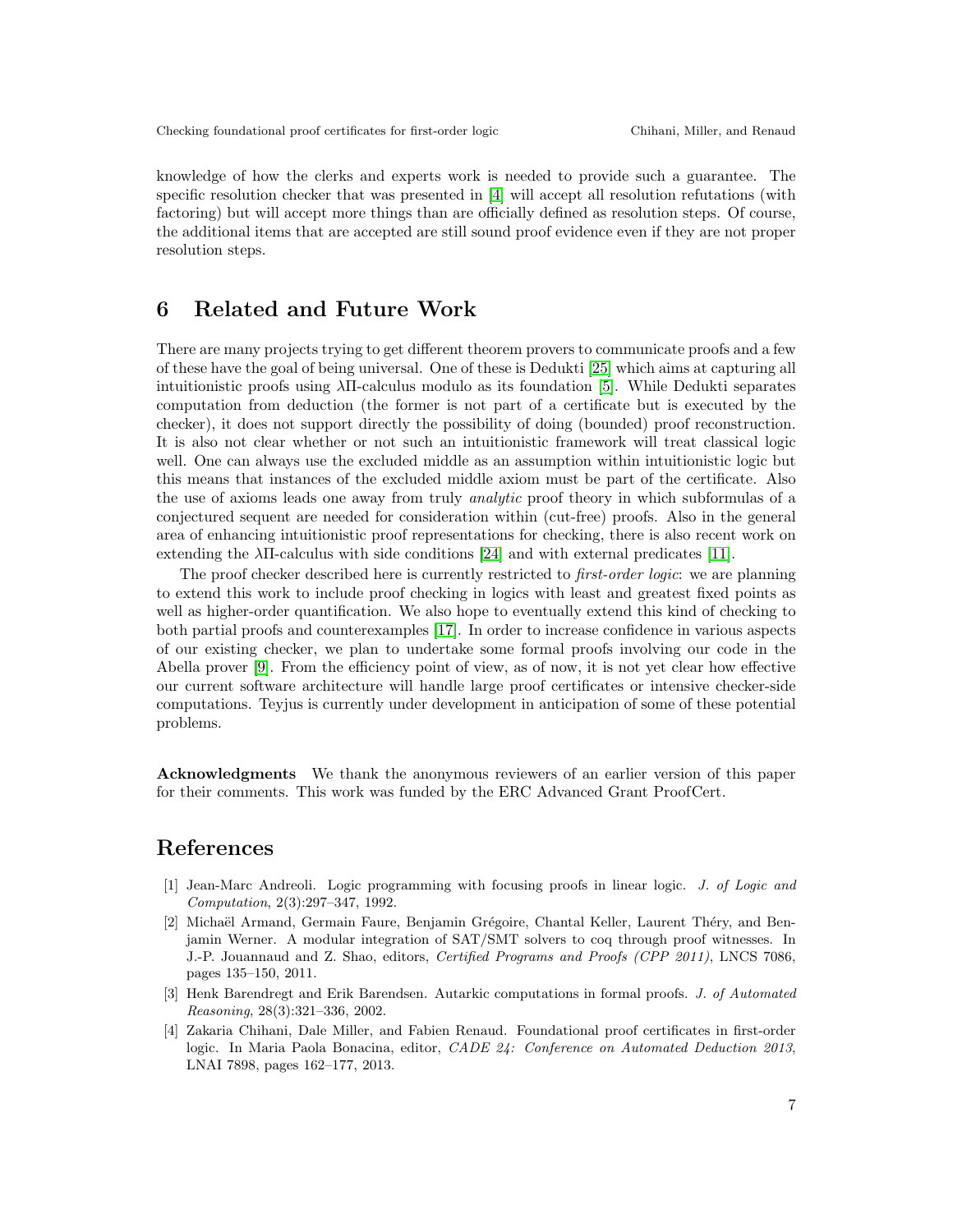knowledge of how the clerks and experts work is needed to provide such a guarantee. The specific resolution checker that was presented in [\[4\]](#page-7-3) will accept all resolution refutations (with factoring) but will accept more things than are officially defined as resolution steps. Of course, the additional items that are accepted are still sound proof evidence even if they are not proper resolution steps.

## 6 Related and Future Work

There are many projects trying to get different theorem provers to communicate proofs and a few of these have the goal of being universal. One of these is Dedukti [\[25\]](#page-8-16) which aims at capturing all intuitionistic proofs using λΠ-calculus modulo as its foundation [\[5\]](#page-8-17). While Dedukti separates computation from deduction (the former is not part of a certificate but is executed by the checker), it does not support directly the possibility of doing (bounded) proof reconstruction. It is also not clear whether or not such an intuitionistic framework will treat classical logic well. One can always use the excluded middle as an assumption within intuitionistic logic but this means that instances of the excluded middle axiom must be part of the certificate. Also the use of axioms leads one away from truly analytic proof theory in which subformulas of a conjectured sequent are needed for consideration within (cut-free) proofs. Also in the general area of enhancing intuitionistic proof representations for checking, there is also recent work on extending the  $\lambda$ II-calculus with side conditions [\[24\]](#page-8-5) and with external predicates [\[11\]](#page-8-18).

The proof checker described here is currently restricted to *first-order logic*: we are planning to extend this work to include proof checking in logics with least and greatest fixed points as well as higher-order quantification. We also hope to eventually extend this kind of checking to both partial proofs and counterexamples [\[17\]](#page-8-19). In order to increase confidence in various aspects of our existing checker, we plan to undertake some formal proofs involving our code in the Abella prover [\[9\]](#page-8-20). From the efficiency point of view, as of now, it is not yet clear how effective our current software architecture will handle large proof certificates or intensive checker-side computations. Teyjus is currently under development in anticipation of some of these potential problems.

Acknowledgments We thank the anonymous reviewers of an earlier version of this paper for their comments. This work was funded by the ERC Advanced Grant ProofCert.

## References

- <span id="page-7-2"></span>[1] Jean-Marc Andreoli. Logic programming with focusing proofs in linear logic. *J. of Logic and Computation*, 2(3):297–347, 1992.
- <span id="page-7-0"></span>[2] Michaël Armand, Germain Faure, Benjamin Grégoire, Chantal Keller, Laurent Théry, and Benjamin Werner. A modular integration of SAT/SMT solvers to coq through proof witnesses. In J.-P. Jouannaud and Z. Shao, editors, *Certified Programs and Proofs (CPP 2011)*, LNCS 7086, pages 135–150, 2011.
- <span id="page-7-1"></span>[3] Henk Barendregt and Erik Barendsen. Autarkic computations in formal proofs. *J. of Automated Reasoning*, 28(3):321–336, 2002.
- <span id="page-7-3"></span>[4] Zakaria Chihani, Dale Miller, and Fabien Renaud. Foundational proof certificates in first-order logic. In Maria Paola Bonacina, editor, *CADE 24: Conference on Automated Deduction 2013*, LNAI 7898, pages 162–177, 2013.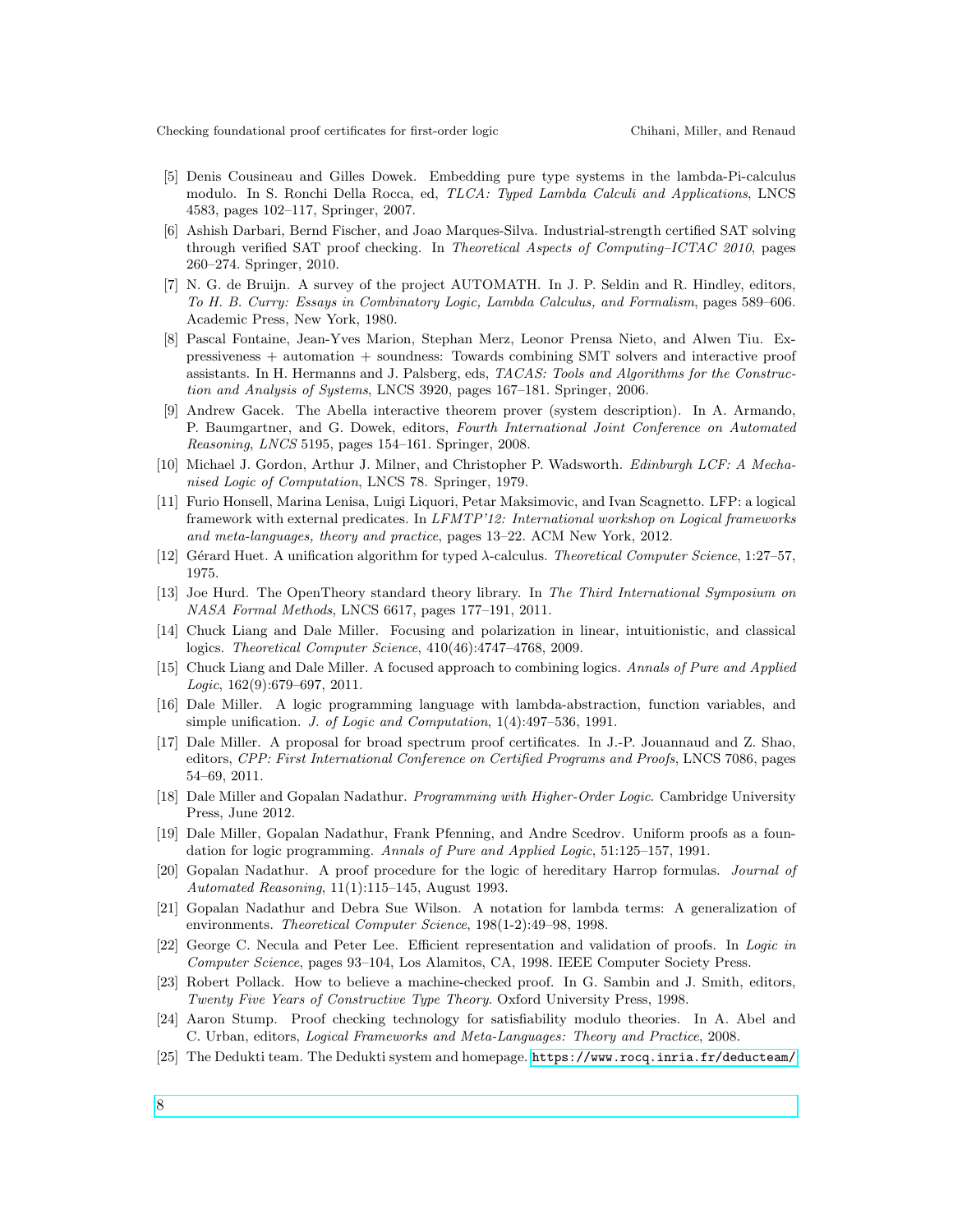- <span id="page-8-17"></span>[5] Denis Cousineau and Gilles Dowek. Embedding pure type systems in the lambda-Pi-calculus modulo. In S. Ronchi Della Rocca, ed, *TLCA: Typed Lambda Calculi and Applications*, LNCS 4583, pages 102–117, Springer, 2007.
- <span id="page-8-3"></span>[6] Ashish Darbari, Bernd Fischer, and Joao Marques-Silva. Industrial-strength certified SAT solving through verified SAT proof checking. In *Theoretical Aspects of Computing–ICTAC 2010*, pages 260–274. Springer, 2010.
- <span id="page-8-6"></span>[7] N. G. de Bruijn. A survey of the project AUTOMATH. In J. P. Seldin and R. Hindley, editors, *To H. B. Curry: Essays in Combinatory Logic, Lambda Calculus, and Formalism*, pages 589–606. Academic Press, New York, 1980.
- <span id="page-8-0"></span>[8] Pascal Fontaine, Jean-Yves Marion, Stephan Merz, Leonor Prensa Nieto, and Alwen Tiu. Expressiveness + automation + soundness: Towards combining SMT solvers and interactive proof assistants. In H. Hermanns and J. Palsberg, eds, *TACAS: Tools and Algorithms for the Construction and Analysis of Systems*, LNCS 3920, pages 167–181. Springer, 2006.
- <span id="page-8-20"></span>[9] Andrew Gacek. The Abella interactive theorem prover (system description). In A. Armando, P. Baumgartner, and G. Dowek, editors, *Fourth International Joint Conference on Automated Reasoning*, *LNCS* 5195, pages 154–161. Springer, 2008.
- <span id="page-8-7"></span>[10] Michael J. Gordon, Arthur J. Milner, and Christopher P. Wadsworth. *Edinburgh LCF: A Mechanised Logic of Computation*, LNCS 78. Springer, 1979.
- <span id="page-8-18"></span>[11] Furio Honsell, Marina Lenisa, Luigi Liquori, Petar Maksimovic, and Ivan Scagnetto. LFP: a logical framework with external predicates. In *LFMTP'12: International workshop on Logical frameworks and meta-languages, theory and practice*, pages 13–22. ACM New York, 2012.
- <span id="page-8-9"></span>[12] G´erard Huet. A unification algorithm for typed λ-calculus. *Theoretical Computer Science*, 1:27–57, 1975.
- <span id="page-8-1"></span>[13] Joe Hurd. The OpenTheory standard theory library. In *The Third International Symposium on NASA Formal Methods*, LNCS 6617, pages 177–191, 2011.
- <span id="page-8-14"></span>[14] Chuck Liang and Dale Miller. Focusing and polarization in linear, intuitionistic, and classical logics. *Theoretical Computer Science*, 410(46):4747–4768, 2009.
- <span id="page-8-13"></span>[15] Chuck Liang and Dale Miller. A focused approach to combining logics. *Annals of Pure and Applied Logic*, 162(9):679–697, 2011.
- <span id="page-8-10"></span>[16] Dale Miller. A logic programming language with lambda-abstraction, function variables, and simple unification. *J. of Logic and Computation*, 1(4):497–536, 1991.
- <span id="page-8-19"></span>[17] Dale Miller. A proposal for broad spectrum proof certificates. In J.-P. Jouannaud and Z. Shao, editors, *CPP: First International Conference on Certified Programs and Proofs*, LNCS 7086, pages 54–69, 2011.
- <span id="page-8-2"></span>[18] Dale Miller and Gopalan Nadathur. *Programming with Higher-Order Logic*. Cambridge University Press, June 2012.
- <span id="page-8-8"></span>[19] Dale Miller, Gopalan Nadathur, Frank Pfenning, and Andre Scedrov. Uniform proofs as a foundation for logic programming. *Annals of Pure and Applied Logic*, 51:125–157, 1991.
- <span id="page-8-11"></span>[20] Gopalan Nadathur. A proof procedure for the logic of hereditary Harrop formulas. *Journal of Automated Reasoning*, 11(1):115–145, August 1993.
- <span id="page-8-12"></span>[21] Gopalan Nadathur and Debra Sue Wilson. A notation for lambda terms: A generalization of environments. *Theoretical Computer Science*, 198(1-2):49–98, 1998.
- <span id="page-8-4"></span>[22] George C. Necula and Peter Lee. Efficient representation and validation of proofs. In *Logic in Computer Science*, pages 93–104, Los Alamitos, CA, 1998. IEEE Computer Society Press.
- <span id="page-8-15"></span>[23] Robert Pollack. How to believe a machine-checked proof. In G. Sambin and J. Smith, editors, *Twenty Five Years of Constructive Type Theory*. Oxford University Press, 1998.
- <span id="page-8-5"></span>[24] Aaron Stump. Proof checking technology for satisfiability modulo theories. In A. Abel and C. Urban, editors, *Logical Frameworks and Meta-Languages: Theory and Practice*, 2008.
- <span id="page-8-16"></span>[25] The Dedukti team. The Dedukti system and homepage. [https://www.rocq.inria.fr/deducteam/](https://www.rocq.inria.fr/deducteam/Dedukti/index.html)